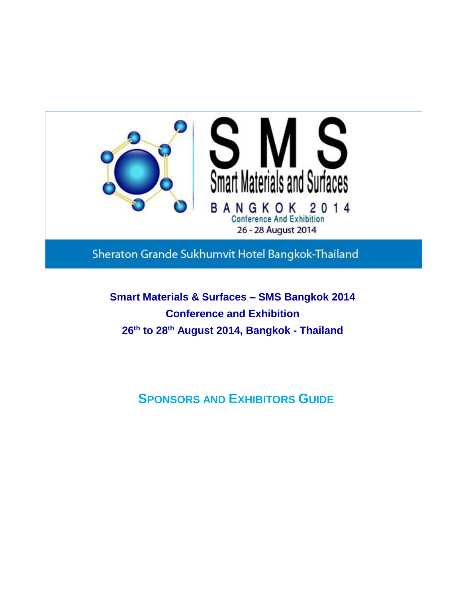

Sheraton Grande Sukhumvit Hotel Bangkok-Thailand

**Smart Materials & Surfaces – SMS Bangkok 2014 Conference and Exhibition 26th to 28th August 2014, Bangkok - Thailand**

**SPONSORS AND EXHIBITORS GUIDE**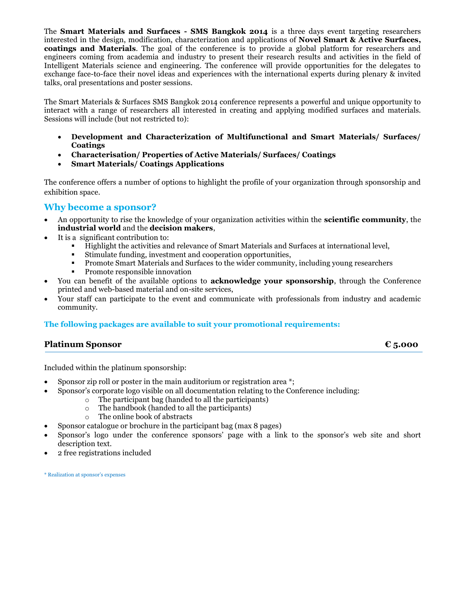The **Smart Materials and Surfaces - SMS Bangkok 2014** is a three days event targeting researchers interested in the design, modification, characterization and applications of **Novel Smart & Active Surfaces, coatings and Materials**. The goal of the conference is to provide a global platform for researchers and engineers coming from academia and industry to present their research results and activities in the field of Intelligent Materials science and engineering. The conference will provide opportunities for the delegates to exchange face-to-face their novel ideas and experiences with the international experts during plenary & invited talks, oral presentations and poster sessions.

The Smart Materials & Surfaces SMS Bangkok 2014 conference represents a powerful and unique opportunity to interact with a range of researchers all interested in creating and applying modified surfaces and materials. Sessions will include (but not restricted to):

- **Development and Characterization of Multifunctional and Smart Materials/ Surfaces/ Coatings**
- **Characterisation/ Properties of Active Materials/ Surfaces/ Coatings**
- **Smart Materials/ Coatings Applications**

The conference offers a number of options to highlight the profile of your organization through sponsorship and exhibition space.

# **Why become a sponsor?**

- An opportunity to rise the knowledge of your organization activities within the **scientific community**, the **industrial world** and the **decision makers**,
- It is a significant contribution to:
	- Highlight the activities and relevance of Smart Materials and Surfaces at international level,
	- Stimulate funding, investment and cooperation opportunities,
	- Promote Smart Materials and Surfaces to the wider community, including young researchers
	- Promote responsible innovation
- You can benefit of the available options to **acknowledge your sponsorship**, through the Conference printed and web-based material and on-site services,
- Your staff can participate to the event and communicate with professionals from industry and academic community.

# **The following packages are available to suit your promotional requirements:**

# **Platinum Sponsor € 5.000**

Included within the platinum sponsorship:

- Sponsor zip roll or poster in the main auditorium or registration area \*;
- Sponsor's corporate logo visible on all documentation relating to the Conference including:
	- o The participant bag (handed to all the participants)
	- o The handbook (handed to all the participants)
	- o The online book of abstracts
- Sponsor catalogue or brochure in the participant bag (max 8 pages)
- Sponsor's logo under the conference sponsors' page with a link to the sponsor's web site and short description text.
- 2 free registrations included

\* Realization at sponsor's expenses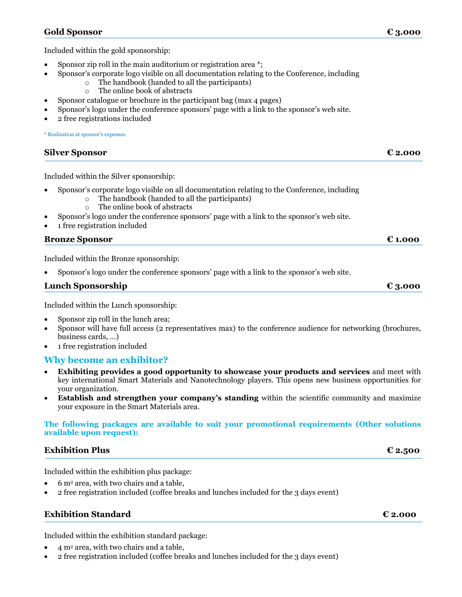# **Gold Sponsor € 3.000**

Included within the gold sponsorship:

- Sponsor zip roll in the main auditorium or registration area \*;
	- Sponsor's corporate logo visible on all documentation relating to the Conference, including
		- o The handbook (handed to all the participants)
			- o The online book of abstracts
- Sponsor catalogue or brochure in the participant bag (max 4 pages)
- Sponsor's logo under the conference sponsors' page with a link to the sponsor's web site.
- 2 free registrations included

\* Realization at sponsor's expenses

| $\epsilon$ 2.000 |
|------------------|
|                  |

Included within the Silver sponsorship:

- Sponsor's corporate logo visible on all documentation relating to the Conference, including
	- o The handbook (handed to all the participants)
	- o The online book of abstracts
- Sponsor's logo under the conference sponsors' page with a link to the sponsor's web site.
- 1 free registration included

# **Bronze Sponsor € 1.000**

Included within the Bronze sponsorship:

Sponsor's logo under the conference sponsors' page with a link to the sponsor's web site.

| <b>Lunch Sponsorship</b> | $\epsilon$ 3.000 |
|--------------------------|------------------|
|                          |                  |

Included within the Lunch sponsorship:

- Sponsor zip roll in the lunch area;
- Sponsor will have full access (2 representatives max) to the conference audience for networking (brochures, business cards, …)
- 1 free registration included

# **Why become an exhibitor?**

- **Exhibiting provides a good opportunity to showcase your products and services** and meet with key international Smart Materials and Nanotechnology players. This opens new business opportunities for your organization.
- **Establish and strengthen your company's standing** within the scientific community and maximize your exposure in the Smart Materials area.

**The following packages are available to suit your promotional requirements (Other solutions available upon request):**

# **Exhibition Plus € 2.500**

Included within the exhibition plus package:

- $\bullet$  6 m<sup>2</sup> area, with two chairs and a table,
- 2 free registration included (coffee breaks and lunches included for the 3 days event)

# **Exhibition Standard € 2.000**

Included within the exhibition standard package:

- 4 m<sup>2</sup> area, with two chairs and a table,
- 2 free registration included (coffee breaks and lunches included for the 3 days event)